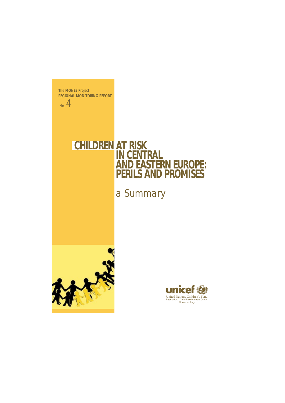**The MONEE Project REGIONAL MONITORING REPORT**

No. 4

# **CHILDREN AT RISK IN CENTRAL AND EASTERN EUROPE: PERILS AND PROMISES**

*a Summary*



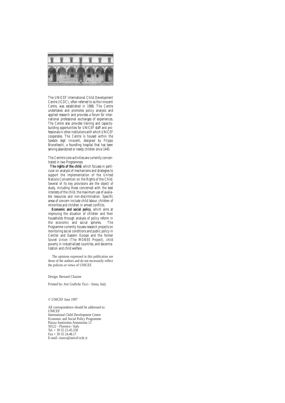

The UNICEF International Child Development Centre (ICDC), often referred to as the *Innocenti Centre*, was established in 1988. The Centre undertakes and promotes policy analysis and applied research and provides a forum for international professional exchanges of experiences. The Centre also provides training and capacitybuilding opportunities for UNICEF staff and professionals in other institutions with which UNICEF cooperates. The Centre is housed within the *Spedale degli Innocenti*, designed by Filippo Brunelleschi, a foundling hospital that has been serving abandoned or needy children since 1445.

The Centre's core activities are currently concentrated in two Programmes:

**The rights of the child**, which focuses in particular on analysis of mechanisms and strategies to support the implementation of the United Nations Convention on the Rights of the Child. Several of its key provisions are the object of study, including those concerned with the best interests of the child, the maximum use of available resources and non-discrimination. Specific areas of concern include child labour, children of minorities and children in armed conflicts.

**Economic and social policy**, which aims at improving the situation of children and their households through analysis of policy reform in the economic and social spheres. The Programme currently houses research projects on monitoring social conditions and public policy in Central and Eastern Europe and the former Soviet Union (The MONEE Project), child poverty in industrialized countries, and decentralization and child welfare.

The opinions expressed in this publication are those of the authors and do not necessarily reflect the policies or views of UNICEF.

Design: Bernard Chazine

Printed by: Arti Grafiche Ticci - Siena, Italy

© UNICEF June 1997

All correspondence should be addressed to: UNICEF International Child Development Centre Economic and Social Policy Programme Piazza Santissima Annunziata 12 50122 - Florence / Italy Tel. + 39 55 23.45.258 Fax + 39 55 24.48.17 E-mail: ciusco@unicef-icdc.it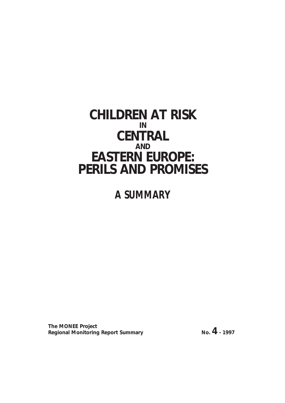### **CHILDREN AT RISK IN CENTRAL AND EASTERN EUROPE: PERILS AND PROMISES**

## *A SUMMARY*

**The MONEE Project Regional Monitoring Report Summary No. 4** - 1997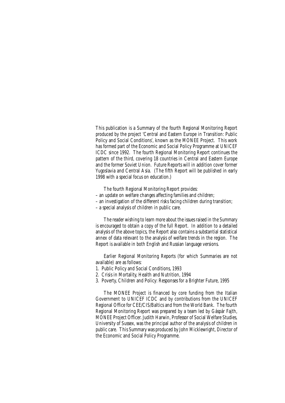This publication is a Summary of the fourth Regional Monitoring Report produced by the project 'Central and Eastern Europe in Transition: Public Policy and Social Conditions', known as the MONEE Project. This work has formed part of the Economic and Social Policy Programme at UNICEF ICDC since 1992. The fourth Regional Monitoring Report continues the pattern of the third, covering 18 countries in Central and Eastern Europe and the former Soviet Union. Future Reports will in addition cover former Yugoslavia and Central Asia. (The fifth Report will be published in early 1998 with a special focus on education.)

The fourth Regional Monitoring Report provides:

- an update on welfare changes affecting families and children;
- an investigation of the different risks facing children during transition;
- a special analysis of children in public care.

The reader wishing to learn more about the issues raised in the Summary is encouraged to obtain a copy of the full Report. In addition to a detailed analysis of the above topics, the Report also contains a substantial statistical annex of data relevant to the analysis of welfare trends in the region. The Report is available in both English and Russian language versions.

Earlier Regional Monitoring Reports (for which Summaries are not available) are as follows:

- 1. Public Policy and Social Conditions, 1993
- 2. Crisis in Mortality, Health and Nutrition, 1994
- 3. Poverty, Children and Policy: Responses for a Brighter Future, 1995

The MONEE Project is financed by core funding from the Italian Government to UNICEF ICDC and by contributions from the UNICEF Regional Office for CEE/CIS/Baltics and from the World Bank. The fourth Regional Monitoring Report was prepared by a team led by Gáspár Fajth, MONEE Project Officer. Judith Harwin, Professor of Social Welfare Studies, University of Sussex, was the principal author of the analysis of children in public care. This Summary was produced by John Micklewright, Director of the Economic and Social Policy Programme.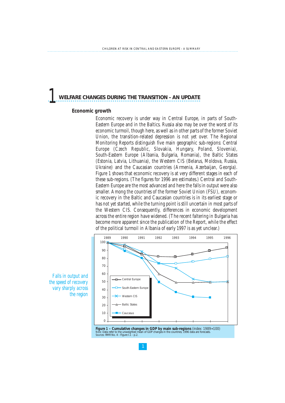### *1* **WELFARE CHANGES DURING THE TRANSITION - AN UPDATE**

#### **Economic growth**

Economic recovery is under way in Central Europe, in parts of South-Eastern Europe and in the Baltics. Russia also may be over the worst of its economic turmoil, though here, as well as in other parts of the former Soviet Union, the transition-related depression is not yet over. The Regional Monitoring Reports distinguish five main geographic sub-regions: Central Europe (Czech Republic, Slovakia, Hungary, Poland, Slovenia), South-Eastern Europe (Albania, Bulgaria, Romania), the Baltic States (Estonia, Latvia, Lithuania), the Western CIS (Belarus, Moldova, Russia, Ukraine) and the Caucasian countries (Armenia, Azerbaijan, Georgia). Figure 1 shows that economic recovery is at very different stages in each of these sub-regions. (The figures for 1996 are estimates.) Central and South-Eastern Europe are the most advanced and here the falls in output were also smaller. Among the countries of the former Soviet Union (FSU), economic recovery in the Baltic and Caucasian countries is in its earliest stage or has not yet started, while the turning point is still uncertain in most parts of the Western CIS. Consequently, differences in economic development across the entire region have widened. (The recent faltering in Bulgaria has become more apparent since the publication of the Report, while the effect of the political turmoil in Albania of early 1997 is as yet unclear.)



*Falls in output and the speed of recovery vary sharply across the region*

**Figure 1 – Cumulative changes in GDP by main sub-regions** *(index: 1989=100)***<br>Note: Data refer to the unweighted mean of GDP changes in the countries; 1996 data are forecasts.** *Note: Data refer to the unweighted n Sources: RMR No. 4 - Figure 1.1 - p.2.*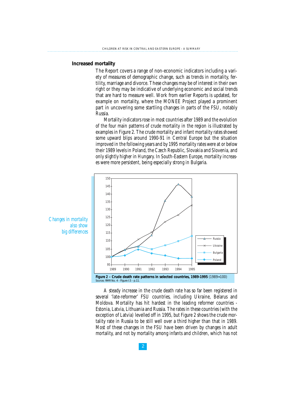#### **Increased mortality**

The Report covers a range of non-economic indicators including a variety of measures of demographic change, such as trends in mortality, fertility, marriage and divorce. These changes may be of interest in their own right or they may be indicative of underlying economic and social trends that are hard to measure well. Work from earlier Reports is updated, for example on mortality, where the MONEE Project played a prominent part in uncovering some startling changes in parts of the FSU, notably Russia.

Mortality indicators rose in most countries after 1989 and the evolution of the four main patterns of crude mortality in the region is illustrated by examples in Figure 2. The crude mortality and infant mortality rates showed some upward blips around 1990-91 in Central Europe but the situation improved in the following years and by 1995 mortality rates were at or below their 1989 levels in Poland, the Czech Republic, Slovakia and Slovenia, and only slightly higher in Hungary. In South-Eastern Europe, mortality increases were more persistent, being especially strong in Bulgaria.



A steady increase in the crude death rate has so far been registered in several 'late-reformer' FSU countries, including Ukraine, Belarus and Moldova. Mortality has hit hardest in the leading reformer countries - Estonia, Latvia, Lithuania and Russia. The rates in these countries (with the exception of Latvia) levelled off in 1995, but Figure 2 shows the crude mortality rate in Russia to be still well over a third higher than that in 1989. Most of these changes in the FSU have been driven by changes in adult mortality, and not by mortality among infants and children, which has not

*Changes in mortality also show big differences*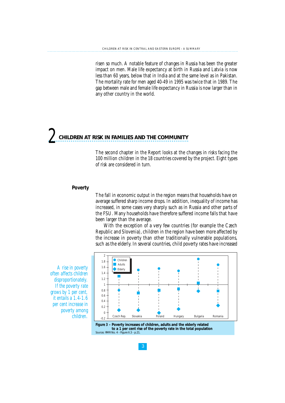risen so much. A notable feature of changes in Russia has been the greater impact on men. Male life expectancy at birth in Russia and Latvia is now less than 60 years, below that in India and at the same level as in Pakistan. The mortality rate for men aged 40-49 in 1995 was twice that in 1989. The gap between male and female life expectancy in Russia is now larger than in any other country in the world.

# *2* **CHILDREN AT RISK IN FAMILIES AND THE COMMUNITY**

The second chapter in the Report looks at the changes in risks facing the 100 million children in the 18 countries covered by the project. Eight types of risk are considered in turn.

#### **Poverty**

The fall in economic output in the region means that households have on average suffered sharp income drops. In addition, inequality of income has increased, in some cases very sharply such as in Russia and other parts of the FSU. Many households have therefore suffered income falls that have been larger than the average.

With the exception of a very few countries (for example the Czech Republic and Slovenia), children in the region have been more affected by the increase in poverty than other traditionally vulnerable populations, such as the elderly. In several countries, child poverty rates have increased





*A rise in poverty often affects children disproportionately. If the poverty rate grows by 1 per cent, it entails a 1.4-1.6 per cent increase in poverty among children.*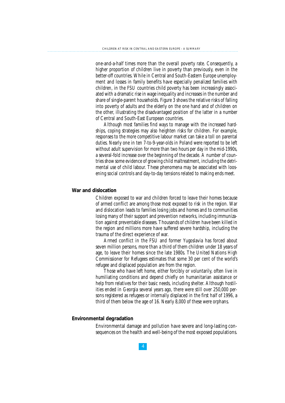one-and-a-half times more than the overall poverty rate. Consequently, a higher proportion of children live in poverty than previously, even in the better-off countries. While in Central and South-Eastern Europe unemployment and losses in family benefits have especially penalized families with children, in the FSU countries child poverty has been increasingly associated with a dramatic rise in wage inequality and increases in the number and share of single-parent households. Figure 3 shows the relative risks of falling into poverty of adults and the elderly on the one hand and of children on the other, illustrating the disadvantaged position of the latter in a number of Central and South-East European countries.

Although most families find ways to manage with the increased hardships, coping strategies may also heighten risks for children. For example, responses to the more competitive labour market can take a toll on parental duties. Nearly one in ten 7-to-9-year-olds in Poland were reported to be left without adult supervision for more than two hours per day in the mid-1990s, a several-fold increase over the beginning of the decade. A number of countries show some evidence of growing child maltreatment, including the detrimental use of child labour. These phenomena may be associated with loosening social controls and day-to-day tensions related to making ends meet.

#### **War and dislocation**

Children exposed to war and children forced to leave their homes because of armed conflict are among those most exposed to risk in the region. War and dislocation leads to families losing jobs and homes and to communities losing many of their support and prevention networks, including immunization against preventable diseases. Thousands of children have been killed in the region and millions more have suffered severe hardship, including the trauma of the direct experience of war.

Armed conflict in the FSU and former Yugoslavia has forced about seven million persons, more than a third of them children under 18 years of age, to leave their homes since the late 1980s. The United Nations High Commissioner for Refugees estimates that some 30 per cent of the world's refugee and displaced population are from the region.

Those who have left home, either forcibly or voluntarily, often live in humiliating conditions and depend chiefly on humanitarian assistance or help from relatives for their basic needs, including shelter. Although hostilities ended in Georgia several years ago, there were still over 250,000 persons registered as refugees or internally displaced in the first half of 1996, a third of them below the age of 16. Nearly 8,000 of these were orphans.

#### **Environmental degradation**

Environmental damage and pollution have severe and long-lasting consequences on the health and well-being of the most exposed populations.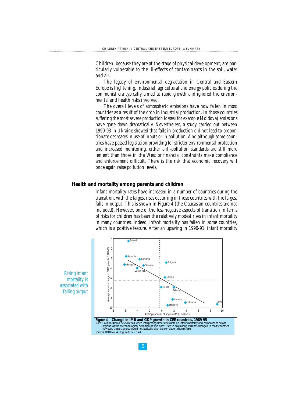Children, because they are at the stage of physical development, are particularly vulnerable to the ill-effects of contaminants in the soil, water and air.

The legacy of environmental degradation in Central and Eastern Europe is frightening. Industrial, agricultural and energy policies during the communist era typically aimed at rapid growth and ignored the environmental and health risks involved.

The overall levels of atmospheric emissions have now fallen in most countries as a result of the drop in industrial production. In those countries suffering the most severe production losses (for example Moldova) emissions have gone down dramatically. Nevertheless, a study carried out between 1990-93 in Ukraine showed that falls in production did not lead to proportionate decreases in use of inputs or in pollution. And although some countries have passed legislation providing for stricter environmental protection and increased monitoring, either anti-pollution standards are still more lenient than those in the West or financial constraints make compliance and enforcement difficult. There is the risk that economic recovery will once again raise pollution levels.

#### **Health and mortality among parents and children**

Infant mortality rates have increased in a number of countries during the transition, with the largest rises occurring in those countries with the largest falls in output. This is shown in Figure 4 (the Caucasian countries are not included). However, one of the less negative aspects of transition in terms of risks for children has been the relatively modest rises in infant mortality in many countries. Indeed, infant mortality has fallen in some countries, which is a positive feature. After an upswing in 1990-91, infant mortality

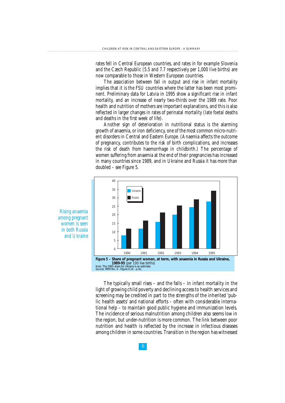rates fell in Central European countries, and rates in for example Slovenia and the Czech Republic (5.5 and 7.7 respectively per 1,000 live births) are now comparable to those in Western European countries.

The association between fall in output and rise in infant mortality implies that it is the FSU countries where the latter has been most prominent. Preliminary data for Latvia in 1995 show a significant rise in infant mortality, and an increase of nearly two-thirds over the 1989 rate. Poor health and nutrition of mothers are important explanations, and this is also reflected in larger changes in rates of perinatal mortality (late foetal deaths and deaths in the first week of life).

Another sign of deterioration in nutritional status is the alarming growth of anaemia, or iron deficiency, one of the most common micro-nutrient disorders in Central and Eastern Europe. (Anaemia affects the outcome of pregnancy, contributes to the risk of birth complications, and increases the risk of death from haemorrhage in childbirth.) The percentage of women suffering from anaemia at the end of their pregnancies has increased in many countries since 1989, and in Ukraine and Russia it has more than doubled – see Figure 5.



*Rising anaemia among pregnant women is seen in both Russia and Ukraine*

> The typically small rises – and the falls – in infant mortality in the light of growing child poverty and declining access to health services and screening may be credited in part to the strengths of the inherited 'public health assets' and national efforts – often with considerable international help – to maintain good public hygiene and immunization levels. The incidence of serious malnutrition among children also seems low in the region, but under-nutrition is more common. The link between poor nutrition and health is reflected by the increase in infectious diseases among children in some countries. Transition in the region has witnessed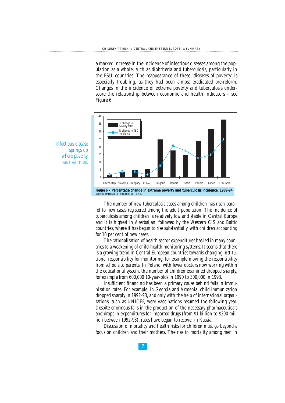a marked increase in the incidence of infectious diseases among the population as a whole, such as diphtheria and tuberculosis, particularly in the FSU countries. The reappearance of these 'diseases of poverty' is especially troubling, as they had been almost eradicated pre-reform. Changes in the incidence of extreme poverty and tuberculosis underscore the relationship between economic and health indicators – see Figure 6.





The number of new tuberculosis cases among children has risen parallel to new cases registered among the adult population. The incidence of tuberculosis among children is relatively low and stable in Central Europe and it is highest in Azerbaijan, followed by the Western CIS and Baltic countries, where it has begun to rise substantially, with children accounting for 10 per cent of new cases.

The rationalization of health sector expenditures has led in many countries to a weakening of child-health monitoring systems. It seems that there is a growing trend in Central European countries towards changing institutional responsibility for monitoring, for example moving the responsibility from schools to parents. In Poland, with fewer doctors now working within the educational system, the number of children examined dropped sharply, for example from 600,000 10-year-olds in 1990 to 300,000 in 1993.

Insufficient financing has been a primary cause behind falls in immunization rates. For example, in Georgia and Armenia, child immunization dropped sharply in 1992-93, and only with the help of international organizations, such as UNICEF, were vaccinations resumed the following year. Despite enormous falls in the production of the necessary pharmaceuticals and drops in expenditures for imported drugs (from \$1 billion to \$300 million between 1992-93), rates have begun to recover in Russia.

Discussion of mortality and health risks for children must go beyond a focus on children and their mothers. The rise in mortality among men in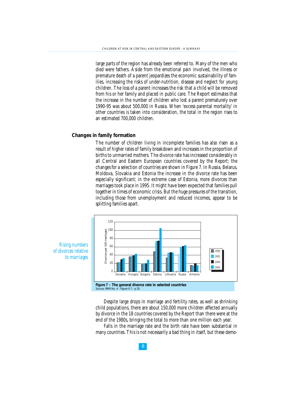large parts of the region has already been referred to. Many of the men who died were fathers. Aside from the emotional pain involved, the illness or premature death of a parent jeopardizes the economic sustainability of families, increasing the risks of under-nutrition, disease and neglect for young children. The loss of a parent increases the risk that a child will be removed from his or her family and placed in public care. The Report estimates that the increase in the number of children who lost a parent prematurely over 1990-95 was about 500,000 in Russia. When 'excess parental mortality' in other countries is taken into consideration, the total in the region rises to an estimated 700,000 children.

#### **Changes in family formation**

The number of children living in incomplete families has also risen as a result of higher rates of family breakdown and increases in the proportion of births to unmarried mothers. The divorce rate has increased considerably in all Central and Eastern European countries covered by the Report; the changes for a selection of countries are shown in Figure 7. In Russia, Belarus, Moldova, Slovakia and Estonia the increase in the divorce rate has been especially significant; in the extreme case of Estonia, more divorces than marriages took place in 1995. It might have been expected that families pull together in times of economic crisis. But the huge pressures of the transition, including those from unemployment and reduced incomes, appear to be splitting families apart.



Despite large drops in marriage and fertility rates, as well as shrinking child populations, there are about 150,000 more children affected annually by divorce in the 18 countries covered by the Report than there were at the end of the 1980s, bringing the total to more than one million each year.

Falls in the marriage rate and the birth rate have been substantial in many countries. This is not necessarily a bad thing in itself, but these demo-

*Rising numbers of divorces relative to marriages*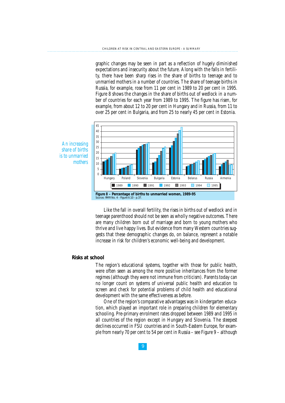graphic changes may be seen in part as a reflection of hugely diminished expectations and insecurity about the future. Along with the falls in fertility, there have been sharp rises in the share of births to teenage and to unmarried mothers in a number of countries. The share of teenage births in Russia, for example, rose from 11 per cent in 1989 to 20 per cent in 1995. Figure 8 shows the changes in the share of births out of wedlock in a number of countries for each year from 1989 to 1995. The figure has risen, for example, from about 12 to 20 per cent in Hungary and in Russia, from 11 to over 25 per cent in Bulgaria, and from 25 to nearly 45 per cent in Estonia.



Like the fall in overall fertility, the rises in births out of wedlock and in teenage parenthood should not be seen as wholly negative outcomes. There are many children born out of marriage and born to young mothers who thrive and live happy lives. But evidence from many Western countries suggests that these demographic changes do, on balance, represent a notable increase in risk for children's economic well-being and development.

#### **Risks at school**

The region's educational systems, together with those for public health, were often seen as among the more positive inheritances from the former regimes (although they were not immune from criticism). Parents today can no longer count on systems of universal public health and education to screen and check for potential problems of child health and educational development with the same effectiveness as before.

One of the region's comparative advantages was in kindergarten education, which played an important role in preparing children for elementary schooling. Pre-primary enrolment rates dropped between 1989 and 1995 in all countries of the region except in Hungary and Slovenia. The steepest declines occurred in FSU countries and in South-Eastern Europe, for example from nearly 70 per cent to 54 per cent in Russia – see Figure 9 – although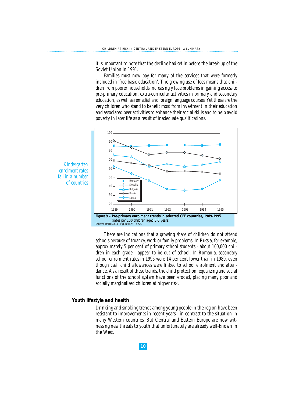it is important to note that the decline had set in before the break-up of the Soviet Union in 1991.

Families must now pay for many of the services that were formerly included in 'free basic education'. The growing use of fees means that children from poorer households increasingly face problems in gaining access to pre-primary education, extra-curricular activities in primary and secondary education, as well as remedial and foreign language courses. Yet these are the very children who stand to benefit most from investment in their education and associated peer activities to enhance their social skills and to help avoid poverty in later life as a result of inadequate qualifications.



*Kindergarten enrolment rates fall in a number of countries*

*Sources:* RMR No. 4 - Figure II.23 - p.53.

There are indications that a growing share of children do not attend schools because of truancy, work or family problems. In Russia, for example, approximately 5 per cent of primary school students - about 100,000 children in each grade - appear to be out of school. In Romania, secondary school enrolment rates in 1995 were 14 per cent lower than in 1989, even though cash child allowances were linked to school enrolment and attendance. As a result of these trends, the child protection, equalizing and social functions of the school system have been eroded, placing many poor and socially marginalized children at higher risk.

#### **Youth lifestyle and health**

Drinking and smoking trends among young people in the region have been resistant to improvements in recent years - in contrast to the situation in many Western countries. But Central and Eastern Europe are now witnessing new threats to youth that unfortunately are already well-known in the West.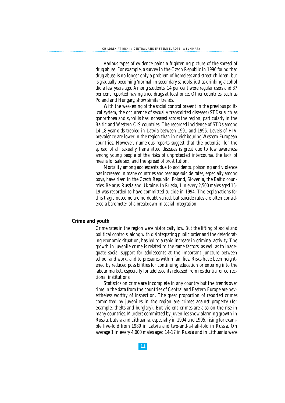Various types of evidence paint a frightening picture of the spread of drug abuse. For example, a survey in the Czech Republic in 1996 found that drug abuse is no longer only a problem of homeless and street children, but is gradually becoming 'normal' in secondary schools, just as drinking alcohol did a few years ago. Among students, 14 per cent were regular users and 37 per cent reported having tried drugs at least once. Other countries, such as Poland and Hungary, show similar trends.

With the weakening of the social control present in the previous political system, the occurrence of sexually transmitted diseases (STDs) such as gonorrhoea and syphilis has increased across the region, particularly in the Baltic and Western CIS countries. The recorded incidence of STDs among 14-18-year-olds trebled in Latvia between 1991 and 1995. Levels of HIV prevalence are lower in the region than in neighbouring Western European countries. However, numerous reports suggest that the potential for the spread of all sexually transmitted diseases is great due to low awareness among young people of the risks of unprotected intercourse, the lack of means for safe sex, and the spread of prostitution.

Mortality among adolescents due to accidents, poisoning and violence has increased in many countries and teenage suicide rates, especially among boys, have risen in the Czech Republic, Poland, Slovenia, the Baltic countries, Belarus, Russia and Ukraine. In Russia, 1 in every 2,500 males aged 15- 19 was recorded to have committed suicide in 1994. The explanations for this tragic outcome are no doubt varied, but suicide rates are often considered a barometer of a breakdown in social integration.

#### **Crime and youth**

Crime rates in the region were historically low. But the lifting of social and political controls, along with disintegrating public order and the deteriorating economic situation, has led to a rapid increase in criminal activity. The growth in juvenile crime is related to the same factors, as well as to inadequate social support for adolescents at the important juncture between school and work, and to pressures within families. Risks have been heightened by reduced possibilities for continuing education or entering into the labour market, especially for adolescents released from residential or correctional institutions.

Statistics on crime are incomplete in any country but the trends over time in the data from the countries of Central and Eastern Europe are nevertheless worthy of inspection. The great proportion of reported crimes committed by juveniles in the region are crimes against property (for example, thefts and burglary). But violent crimes are also on the rise in many countries. Murders committed by juveniles show alarming growth in Russia, Latvia and Lithuania, especially in 1994 and 1995, rising for example five-fold from 1989 in Latvia and two-and-a-half-fold in Russia. On average 1 in every 4,000 males aged 14-17 in Russia and in Lithuania were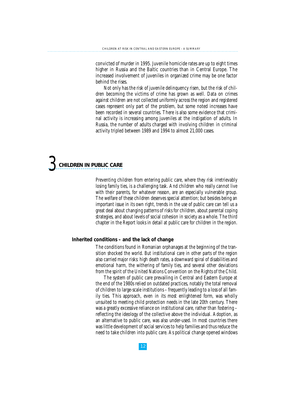convicted of murder in 1995. Juvenile homicide rates are up to eight times higher in Russia and the Baltic countries than in Central Europe. The increased involvement of juveniles in organized crime may be one factor behind the rises.

Not only has the risk of juvenile delinquency risen, but the risk of children becoming the victims of crime has grown as well. Data on crimes against children are not collected uniformly across the region and registered cases represent only part of the problem, but some noted increases have been recorded in several countries. There is also some evidence that criminal activity is increasing among juveniles at the instigation of adults. In Russia, the number of adults charged with involving children in criminal activity tripled between 1989 and 1994 to almost 21,000 cases.



Preventing children from entering public care, where they risk irretrievably losing family ties, is a challenging task. And children who really cannot live with their parents, for whatever reason, are an especially vulnerable group. The welfare of these children deserves special attention; but besides being an important issue in its own right, trends in the use of public care can tell us a great deal about changing patterns of risks for children, about parental coping strategies, and about levels of social cohesion in society as a whole. The third chapter in the Report looks in detail at public care for children in the region.

#### **Inherited conditions – and the lack of change**

The conditions found in Romanian orphanages at the beginning of the transition shocked the world. But institutional care in other parts of the region also carried major risks: high death rates, a downward spiral of disabilities and emotional harm, the withering of family ties, and several other deviations from the spirit of the United Nations Convention on the Rights of the Child.

The system of public care prevailing in Central and Eastern Europe at the end of the 1980s relied on outdated practices, notably the total removal of children to large-scale institutions – frequently leading to a loss of all family ties. This approach, even in its most enlightened form, was wholly unsuited to meeting child protection needs in the late 20th century. There was a greatly excessive reliance on institutional care, rather than fostering – reflecting the ideology of the collective above the individual. Adoption, as an alternative to public care, was also under-used. In most countries there was little development of social services to help families and thus reduce the need to take children into public care. As political change opened windows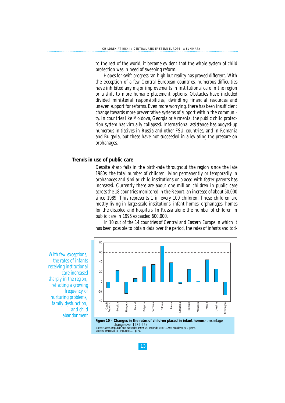to the rest of the world, it became evident that the whole system of child protection was in need of sweeping reform.

Hopes for swift progress ran high but reality has proved different. With the exception of a few Central European countries, numerous difficulties have inhibited any major improvements in institutional care in the region or a shift to more humane placement options. Obstacles have included divided ministerial responsibilities, dwindling financial resources and uneven support for reforms. Even more worrying, there has been insufficient change towards more preventative systems of support within the community. In countries like Moldova, Georgia or Armenia, the public child protection system has virtually collapsed. International assistance has buoyed-up numerous initiatives in Russia and other FSU countries, and in Romania and Bulgaria, but these have not succeeded in alleviating the pressure on orphanages.

#### **Trends in use of public care**

Despite sharp falls in the birth-rate throughout the region since the late 1980s, the total number of children living permanently or temporarily in orphanages and similar child institutions or placed with foster parents has increased. Currently there are about one million children in public care across the 18 countries monitored in the Report, an increase of about 50,000 since 1989. This represents 1 in every 100 children. These children are mostly living in large-scale institutions: infant homes, orphanages, homes for the disabled and hospitals. In Russia alone the number of children in public care in 1995 exceeded 600,000.

In 10 out of the 14 countries of Central and Eastern Europe in which it has been possible to obtain data over the period, the rates of infants and tod-



*With few exceptions, the rates of infants receiving institutional care increased sharply in the region, reflecting a growing frequency of nurturing problems, family dysfunction, and child abandonment*

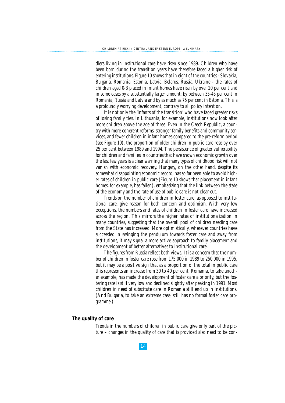dlers living in institutional care have risen since 1989. Children who have been born during the transition years have therefore faced a higher risk of entering institutions. Figure 10 shows that in eight of the countries - Slovakia, Bulgaria, Romania, Estonia, Latvia, Belarus, Russia, Ukraine - the rates of children aged 0-3 placed in infant homes have risen by over 20 per cent and in some cases by a substantially larger amount: by between 35-45 per cent in Romania, Russia and Latvia and by as much as 75 per cent in Estonia. This is a profoundly worrying development, contrary to all policy intention.

It is not only the 'infants of the transition' who have faced greater risks of losing family ties. In Lithuania, for example, institutions now look after more children above the age of three. Even in the Czech Republic, a country with more coherent reforms, stronger family benefits and community services, and fewer children in infant homes compared to the pre-reform period (see Figure 10), the proportion of older children in public care rose by over 25 per cent between 1989 and 1994. The persistence of greater vulnerability for children and families in countries that have shown economic growth over the last few years is a clear warning that many types of childhood risk will not vanish with economic recovery. Hungary, on the other hand, despite its somewhat disappointing economic record, has so far been able to avoid higher rates of children in public care (Figure 10 shows that placement in infant homes, for example, has fallen), emphasizing that the link between the state of the economy and the rate of use of public care is not clear-cut.

Trends on the number of children in foster care, as opposed to institutional care, give reason for both concern and optimism. With very few exceptions, the numbers and rates of children in foster care have increased across the region. This mirrors the higher rates of institutionalization in many countries, suggesting that the overall pool of children needing care from the State has increased. More optimistically, wherever countries have succeeded in swinging the pendulum towards foster care and away from institutions, it may signal a more active approach to family placement and the development of better alternatives to institutional care.

The figures from Russia reflect both views. It is a concern that the number of children in foster care rose from 175,000 in 1989 to 250,000 in 1995, but it may be a positive sign that as a proportion of the total in public care this represents an increase from 30 to 40 per cent. Romania, to take another example, has made the development of foster care a priority, but the fostering rate is still very low and declined slightly after peaking in 1991. Most children in need of substitute care in Romania still end up in institutions. (And Bulgaria, to take an extreme case, still has no formal foster care programme.)

#### **The quality of care**

Trends in the numbers of children in public care give only part of the picture – changes in the quality of care that is provided also need to be con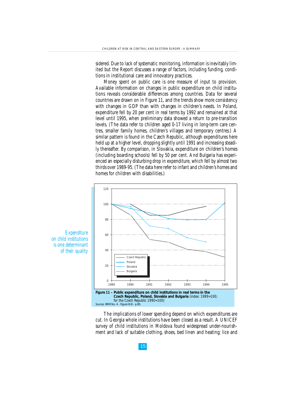sidered. Due to lack of systematic monitoring, information is inevitably limited but the Report discusses a range of factors, including funding, conditions in institutional care and innovatory practices.

Money spent on public care is one measure of input to provision. Available information on changes in public expenditure on child institutions reveals considerable differences among countries. Data for several countries are drawn on in Figure 11, and the trends show more consistency with changes in GDP than with changes in children's needs. In Poland, expenditure fell by 20 per cent in real terms by 1992 and remained at that level until 1995, when preliminary data showed a return to pre-transition levels. (The data refer to children aged 0-17 living in long-term care centres, smaller family homes, children's villages and temporary centres.) A similar pattern is found in the Czech Republic, although expenditures here held up at a higher level, dropping slightly until 1991 and increasing steadily thereafter. By comparison, in Slovakia, expenditure on children's homes (including boarding schools) fell by 50 per cent. And Bulgaria has experienced an especially disturbing drop in expenditure, which fell by almost two thirds over 1989-95. (The data here refer to infant and children's homes and homes for children with disabilities.)



*Sources:* RMR No. 4 - Figure III.8 - p.85.

The implications of lower spending depend on which expenditures are cut. In Georgia whole institutions have been closed as a result. A UNICEF survey of child institutions in Moldova found widespread under-nourishment and lack of suitable clothing, shoes, bed linen and heating; lice and

15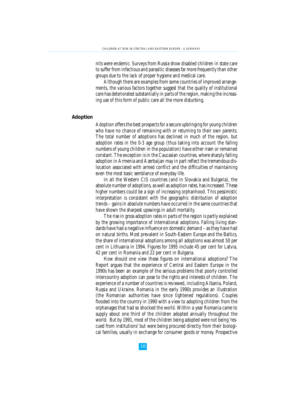nits were endemic. Surveys from Russia show disabled children in state care to suffer from infectious and parasitic diseases far more frequently than other groups due to the lack of proper hygiene and medical care.

Although there are examples from some countries of improved arrangements, the various factors together suggest that the quality of institutional care has deteriorated substantially in parts of the region, making the increasing use of this form of public care all the more disturbing.

#### **Adoption**

Adoption offers the best prospects for a secure upbringing for young children who have no chance of remaining with or returning to their own parents. The total number of adoptions has declined in much of the region, but adoption rates in the 0-3 age group (thus taking into account the falling numbers of young children in the population) have either risen or remained constant. The exception is in the Caucasian countries, where sharply falling adoption in Armenia and Azerbaijan may in part reflect the tremendous dislocation associated with armed conflict and the difficulties of maintaining even the most basic semblance of everyday life.

In all the Western CIS countries (and in Slovakia and Bulgaria), the absolute number of adoptions, as well as adoption rates, has increased. These higher numbers could be a sign of increasing orphanhood. This pessimistic interpretation is consistent with the geographic distribution of adoption trends – gains in absolute numbers have occurred in the same countries that have shown the sharpest upswings in adult mortality.

The rise in gross adoption rates in parts of the region is partly explained by the growing importance of international adoptions. Falling living standards have had a negative influence on domestic demand – as they have had on natural births. Most prevalent in South-Eastern Europe and the Baltics, the share of international adoptions among all adoptions was almost 50 per cent in Lithuania in 1994. Figures for 1995 include 45 per cent for Latvia, 42 per cent in Romania and 22 per cent in Bulgaria.

How should one view these figures on international adoptions? The Report argues that the experience of Central and Eastern Europe in the 1990s has been an example of the serious problems that poorly controlled intercountry adoption can pose to the rights and interests of children. The experience of a number of countries is reviewed, including Albania, Poland, Russia and Ukraine. Romania in the early 1990s provides an illustration (the Romanian authorities have since tightened regulations). Couples flooded into the country in 1990 with a view to adopting children from the orphanages that had so shocked the world. Within a year Romania came to supply about one third of the children adopted annually throughout the world. But by 1991, most of the children being adopted were not being 'rescued from institutions' but were being procured directly from their biological families, usually in exchange for consumer goods or money. Prospective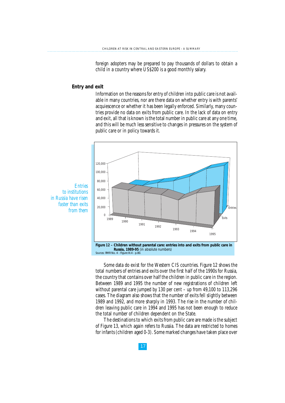foreign adopters may be prepared to pay thousands of dollars to obtain a child in a country where US\$200 is a good monthly salary.

#### **Entry and exit**

Information on the reasons for entry of children into public care is not available in many countries, nor are there data on whether entry is with parents' acquiescence or whether it has been legally enforced. Similarly, many countries provide no data on exits from public care. In the lack of data on entry and exit, all that is known is the total number in public care at any one time, and this will be much less sensitive to changes in pressures on the system of public care or in policy towards it.



*Entries to institutions in Russia have risen faster than exits from them*

> **Russia, 1989-95** *(in absolute numbers) Sources:* RMR No. 4 - Figure III.4 - p.80.

Some data do exist for the Western CIS countries. Figure 12 shows the total numbers of entries and exits over the first half of the 1990s for Russia, the country that contains over half the children in public care in the region. Between 1989 and 1995 the number of new registrations of children left without parental care jumped by 130 per cent – up from 49,100 to 113,296 cases. The diagram also shows that the number of exits fell slightly between 1989 and 1992, and more sharply in 1993. The rise in the number of children leaving public care in 1994 and 1995 has not been enough to reduce the total number of children dependent on the State.

The destinations to which exits from public care are made is the subject of Figure 13, which again refers to Russia. The data are restricted to homes for infants (children aged 0-3). Some marked changes have taken place over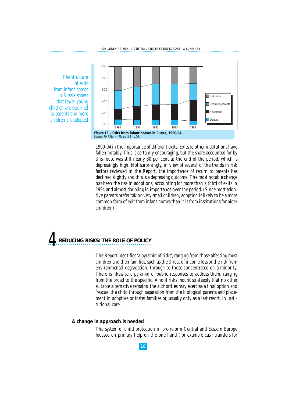*The structure of exits from infant homes in Russia shows that fewer young children are returned to parents and more children are adopted*



1990-94 in the importance of different exits. Exits to other institutions have fallen notably. This is certainly encouraging, but the share accounted for by this route was still nearly 30 per cent at the end of the period, which is depressingly high. Not surprisingly, in view of several of the trends in risk factors reviewed in the Report, the importance of return to parents has declined slightly and this is a depressing outcome. The most notable change has been the rise in adoptions, accounting for more than a third of exits in 1994 and almost doubling in importance over the period. (Since most adoptive parents prefer taking very small children, adoption is likely to be a more common form of exit from infant homes than it is from institutions for older children.)

### *4* **REDUCING RISKS: THE ROLE OF POLICY**

The Report identifies 'a pyramid of risks', ranging from those affecting most children and their families, such as the threat of income loss or the risk from environmental degradation, through to those concentrated on a minority. There is likewise a pyramid of public responses to address them, ranging from the broad to the specific. And if risks mount so steeply that no other suitable alternative remains, the authorities may exercise a final option and 'rescue' the child through separation from the biological parents and placement in adoptive or foster families or, usually only as a last resort, in institutional care.

#### **A change in approach is needed**

The system of child protection in pre-reform Central and Eastern Europe focused on primary help on the one hand (for example cash transfers for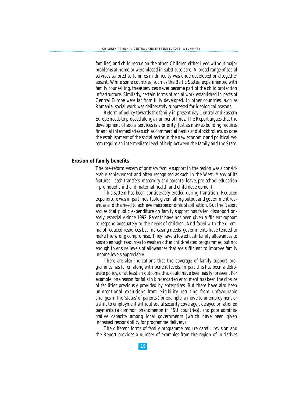families) and child rescue on the other. Children either lived without major problems at home or were placed in substitute care. A broad range of social services tailored to families in difficulty was underdeveloped or altogether absent. While some countries, such as the Baltic States, experimented with family counselling, these services never became part of the child protection infrastructure. Similarly, certain forms of social work established in parts of Central Europe were far from fully developed. In other countries, such as Romania, social work was deliberately suppressed for ideological reasons.

Reform of policy towards the family in present day Central and Eastern Europe needs to proceed along a number of lines. The Report argues that the development of social services is a priority. Just as market-building requires financial intermediaries such as commercial banks and stockbrokers, so does the establishment of the social sector in the new economic and political system require an intermediate level of help between the family and the State.

#### **Erosion of family benefits**

The pre-reform system of primary family support in the region was a considerable achievement and often recognized as such in the West. Many of its features – cash transfers, maternity and parental leave, pre-school education – promoted child and maternal health and child development.

This system has been considerably eroded during transition. Reduced expenditure was in part inevitable given falling output and government revenues and the need to achieve macroeconomic stabilization. But the Report argues that public expenditure on family support has fallen disproportionately, especially since 1992. Parents have not been given sufficient support to respond adequately to the needs of children. And faced with the dilemma of reduced resources but increasing needs, governments have tended to make the wrong compromise. They have allowed cash family allowances to absorb enough resources to weaken other child-related programmes, but not enough to ensure levels of allowances that are sufficient to improve family income levels appreciably.

There are also indications that the coverage of family support programmes has fallen along with benefit levels. In part this has been a deliberate policy, or at least an outcome that could have been easily foreseen. For example, one reason for falls in kindergarten enrolment has been the closure of facilities previously provided by enterprises. But there have also been unintentional exclusions from eligibility resulting from unfavourable changes in the 'status' of parents (for example, a move to unemployment or a shift to employment without social security coverage), delayed or rationed payments (a common phenomenon in FSU countries), and poor administrative capacity among local governments (which have been given increased responsibility for programme delivery).

The different forms of family programme require careful revision and the Report provides a number of examples from the region of initiatives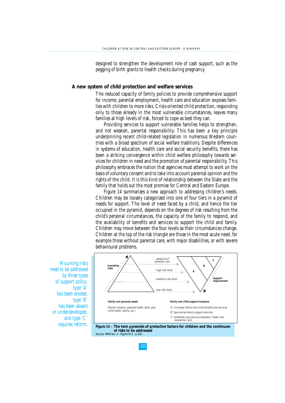designed to strengthen the development role of cash support, such as the pegging of birth grants to health checks during pregnancy.

#### **A new system of child protection and welfare services**

The reduced capacity of family policies to provide comprehensive support for income, parental employment, health care and education exposes families with children to more risks. Crisis-oriented child protection, responding only to those already in the most vulnerable circumstances, leaves many families at high levels of risk, forced to cope as best they can.

Providing services to support vulnerable families helps to strengthen, and not weaken, parental responsibility. This has been a key principle underpinning recent child-related legislation in numerous Western countries with a broad spectrum of social welfare traditions. Despite differences in systems of education, health care and social security benefits, there has been a striking convergence within child welfare philosophy towards services for children in need and the promotion of parental responsibility. This philosophy embraces the notion that agencies must attempt to work on the basis of voluntary consent and to take into account parental opinion and the rights of the child. It is this kind of relationship between the State and the family that holds out the most promise for Central and Eastern Europe.

Figure 14 summarizes a new approach to addressing children's needs. Children may be loosely categorized into one of four tiers in a pyramid of needs for support. The level of need faced by a child, and hence the tier occupied in the pyramid, depends on the degrees of risk resulting from the child's personal circumstances, the capacity of the family to respond, and the availability of benefits and services to support the child and family. Children may move between the four levels as their circumstances change. Children at the top of the risk triangle are those in the most acute need, for example those without parental care, with major disabilities, or with severe behavioural problems.





*Mounting risks need to be addressed by three types of support policy; type 'A' has been eroded, type 'B' has been absent or underdeveloped, and type 'C' requires reform.*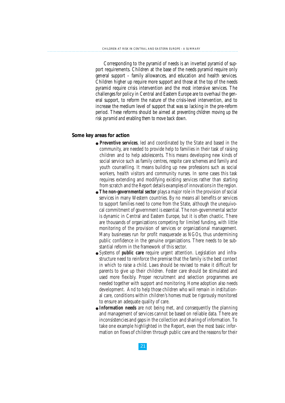Corresponding to the pyramid of needs is an inverted pyramid of support requirements. Children at the base of the needs pyramid require only general support – family allowances, and education and health services. Children higher up require more support and those at the top of the needs pyramid require crisis intervention and the most intensive services. The challenges for policy in Central and Eastern Europe are to overhaul the general support, to reform the nature of the crisis-level intervention, and to increase the medium level of support that was so lacking in the pre-reform period. These reforms should be aimed at *preventing children moving up the risk pyramid and enabling them to move back down*.

#### **Some key areas for action**

- **Preventive services**, led and coordinated by the State and based in the community, are needed to provide help to families in their task of raising children and to help adolescents. This means developing new kinds of social service such as family centres, respite care schemes and family and youth counselling. It means building up new professions such as social workers, health visitors and community nurses. In some cases this task requires extending and modifying existing services rather than starting from scratch and the Report details examples of innovations in the region.
- **The non-governmental sector** plays a major role in the provision of social services in many Western countries. By no means all benefits or services to support families need to come from the State, although the unequivocal commitment of government is essential. The non-governmental sector is dynamic in Central and Eastern Europe, but it is often chaotic. There are thousands of organizations competing for limited funding, with little monitoring of the provision of services or organizational management. Many businesses run for profit masquerade as NGOs, thus undermining public confidence in the genuine organizations. There needs to be substantial reform in the framework of this sector.
- Systems of **public care** require urgent attention. Legislation and infrastructure need to reinforce the premise that the family is the best context in which to raise a child. Laws should be revised to make it difficult for parents to give up their children. Foster care should be stimulated and used more flexibly. Proper recruitment and selection programmes are needed together with support and monitoring. Home adoption also needs development. And to help those children who will remain in institutional care, conditions within children's homes must be rigorously monitored to ensure an adequate quality of care.
- **Information needs** are not being met, and consequently the planning and management of services cannot be based on reliable data. There are inconsistencies and gaps in the collection and sharing of information. To take one example highlighted in the Report, even the most basic information on flows of children through public care and the reasons for their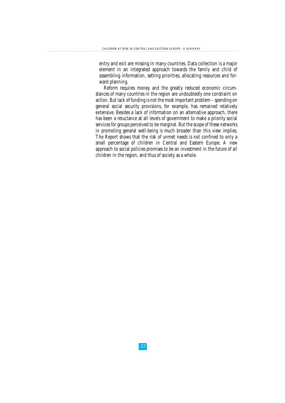entry and exit are missing in many countries. Data collection is a major element in an integrated approach towards the family and child of assembling information, setting priorities, allocating resources and forward planning.

Reform requires money and the greatly reduced economic circumstances of many countries in the region are undoubtedly one constraint on action. But lack of funding is not the most important problem – spending on general social security provisions, for example, has remained relatively extensive. Besides a lack of information on an alternative approach, there has been a reluctance at all levels of government to make a priority social services for groups perceived to be marginal. But the scope of these networks in promoting general well-being is much broader than this view implies. The Report shows that the risk of unmet needs is not confined to only a small percentage of children in Central and Eastern Europe. A new approach to social policies promises to be an investment in the future of all children in the region, and thus of society as a whole.